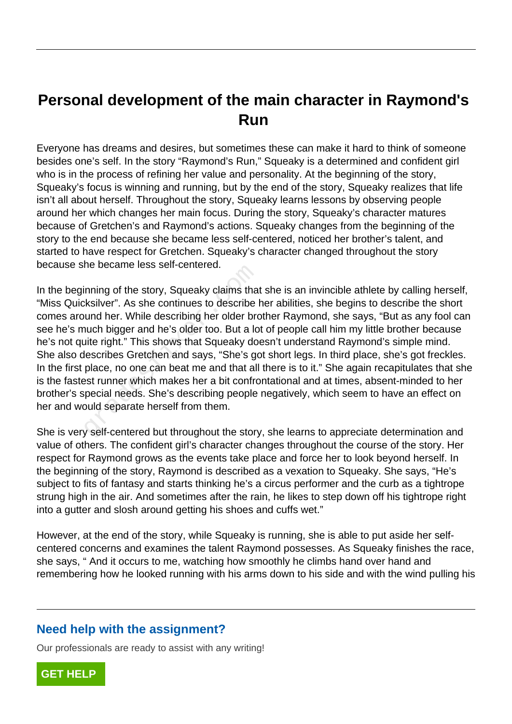## **Personal development of the main character in Raymond's Run**

Everyone has dreams and desires, but sometimes these can make it hard to think of someone besides one's self. In the story "Raymond's Run," Squeaky is a determined and confident girl who is in the process of refining her value and personality. At the beginning of the story, Squeaky's focus is winning and running, but by the end of the story, Squeaky realizes that life isn't all about herself. Throughout the story, Squeaky learns lessons by observing people around her which changes her main focus. During the story, Squeaky's character matures because of Gretchen's and Raymond's actions. Squeaky changes from the beginning of the story to the end because she became less self-centered, noticed her brother's talent, and started to have respect for Gretchen. Squeaky's character changed throughout the story because she became less self-centered.

In the beginning of the story, Squeaky claims that she is an invincible athlete by calling herself, "Miss Quicksilver". As she continues to describe her abilities, she begins to describe the short comes around her. While describing her older brother Raymond, she says, "But as any fool can see he's much bigger and he's older too. But a lot of people call him my little brother because he's not quite right." This shows that Squeaky doesn't understand Raymond's simple mind. She also describes Gretchen and says, "She's got short legs. In third place, she's got freckles. In the first place, no one can beat me and that all there is to it." She again recapitulates that she is the fastest runner which makes her a bit confrontational and at times, absent-minded to her brother's special needs. She's describing people negatively, which seem to have an effect on her and would separate herself from them. The became less sen-centered.<br>
Inning of the story, Squeaky claims that<br>
Instead in the section of the section<br>
Independency and he's older too. But a locality<br>
interight." This shows that Squeaky do<br>
lescribes Gretchen an

She is very self-centered but throughout the story, she learns to appreciate determination and value of others. The confident girl's character changes throughout the course of the story. Her respect for Raymond grows as the events take place and force her to look beyond herself. In the beginning of the story, Raymond is described as a vexation to Squeaky. She says, "He's subject to fits of fantasy and starts thinking he's a circus performer and the curb as a tightrope strung high in the air. And sometimes after the rain, he likes to step down off his tightrope right into a gutter and slosh around getting his shoes and cuffs wet."

However, at the end of the story, while Squeaky is running, she is able to put aside her selfcentered concerns and examines the talent Raymond possesses. As Squeaky finishes the race, she says, " And it occurs to me, watching how smoothly he climbs hand over hand and remembering how he looked running with his arms down to his side and with the wind pulling his

## **Need help with the assignment?**

Our professionals are ready to assist with any writing!